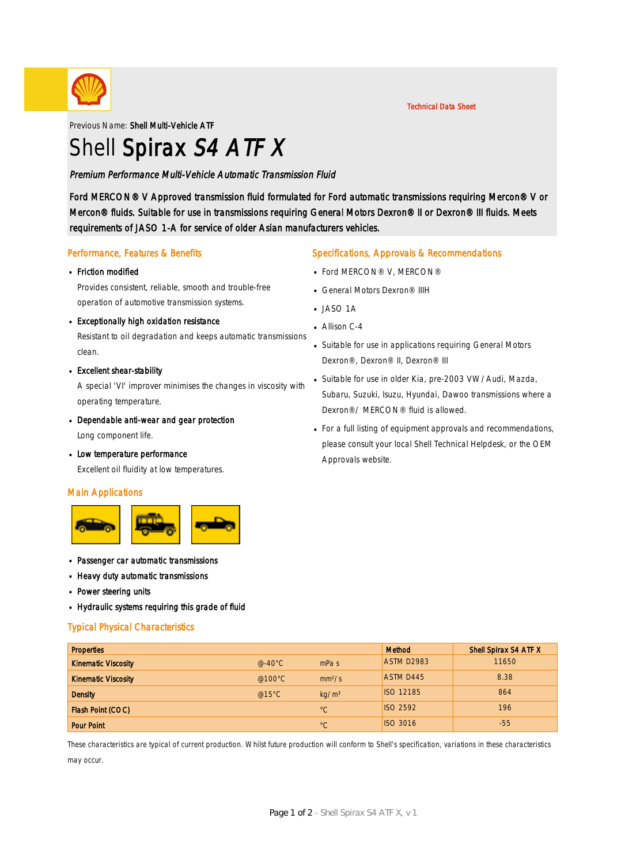

Previous Name: Shell Multi-Vehicle ATF

# Shell Spirax S4 ATF X

### Premium Performance Multi-Vehicle Automatic Transmission Fluid

Ford MERCON® V Approved transmission fluid formulated for Ford automatic transmissions requiring Mercon® V or Mercon® fluids. Suitable for use in transmissions requiring General Motors Dexron® II or Dexron® III fluids. Meets requirements of JASO 1-A for service of older Asian manufacturers vehicles.

#### Performance, Features & Benefits

# Friction modified ·

Provides consistent, reliable, smooth and trouble-free operation of automotive transmission systems.

# **Exceptionally high oxidation resistance**

Resistant to oil degradation and keeps automatic transmissions clean.

**Excellent shear-stability** 

A special 'VI' improver minimises the changes in viscosity with operating temperature.

Dependable anti-wear and gear protection

Long component life.

**Low temperature performance** Excellent oil fluidity at low temperatures.

#### Main Applications



- Passenger car automatic transmissions ·
- **Heavy duty automatic transmissions**
- **Power steering units**
- Hydraulic systems requiring this grade of fluid ·

#### Typical Physical Characteristics

| <b>Properties</b>          |                   |                    | <b>Method</b>    | Shell Spirax S4 ATF X |
|----------------------------|-------------------|--------------------|------------------|-----------------------|
| <b>Kinematic Viscosity</b> | @-40 $^{\circ}$ C | mPa <sub>s</sub>   | ASTM D2983       | 11650                 |
| <b>Kinematic Viscosity</b> | @100 $^{\circ}$ C | mm <sup>2</sup> /s | <b>ASTM D445</b> | 8.38                  |
| <b>Density</b>             | @15°C             | kg/m <sup>3</sup>  | <b>ISO 12185</b> | 864                   |
| Flash Point (COC)          |                   | $^{\circ}C$        | <b>ISO 2592</b>  | 196                   |
| <b>Pour Point</b>          |                   | $^{\circ}C$        | <b>ISO 3016</b>  | $-55$                 |

These characteristics are typical of current production. Whilst future production will conform to Shell's specification, variations in these characteristics may occur.

### Specifications, Approvals & Recommendations

- **Ford MERCON® V, MERCON®**
- General Motors Dexron<sup>®</sup> IIIH
- $JASO$  1A
- $\blacksquare$  Allison C-4
- Suitable for use in applications requiring General Motors · Dexron®, Dexron® II, Dexron® III
- Suitable for use in older Kia, pre-2003 VW/Audi, Mazda, · Subaru, Suzuki, Isuzu, Hyundai, Dawoo transmissions where a Dexron®/ MERCON® fluid is allowed.
- For a full listing of equipment approvals and recommendations, · please consult your local Shell Technical Helpdesk, or the OEM Approvals website.